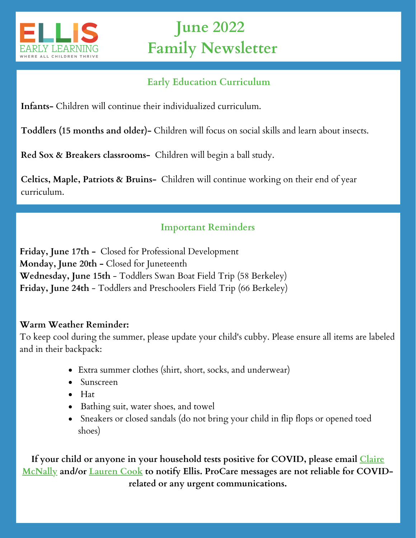

# **June 2022 Family Newsletter**

# **Early Education Curriculum**

**Infants-** Children will continue their individualized curriculum.

**Toddlers (15 months and older)-** Children will focus on social skills and learn about insects.

**Red Sox & Breakers classrooms-** Children will begin a ball study.

**Celtics, Maple, Patriots & Bruins-** Children will continue working on their end of year curriculum.

# **Important Reminders**

**Friday, June 17th -** Closed for Professional Development **Monday, June 20th -** Closed for Juneteenth **Wednesday, June 15th** - Toddlers Swan Boat Field Trip (58 Berkeley) **Friday, June 24th** - Toddlers and Preschoolers Field Trip (66 Berkeley)

## **Warm Weather Reminder:**

To keep cool during the summer, please update your child's cubby. Please ensure all items are labeled and in their backpack:

- Extra summer clothes (shirt, short, socks, and underwear)
- Sunscreen
- $\bullet$  Hat
- Bathing suit, water shoes, and towel
- Sneakers or closed sandals (do not bring your child in flip flops or opened toed shoes)

**If your child or anyone in your [household](mailto:cmcnally@ellisearlylearning.org) tests positive for COVID, please email Claire McNally and/or [Lauren](mailto:laurencook@ellisearlylearning.org) Cook to notify Ellis. ProCare messages are not reliable for COVIDrelated or any urgent communications.**